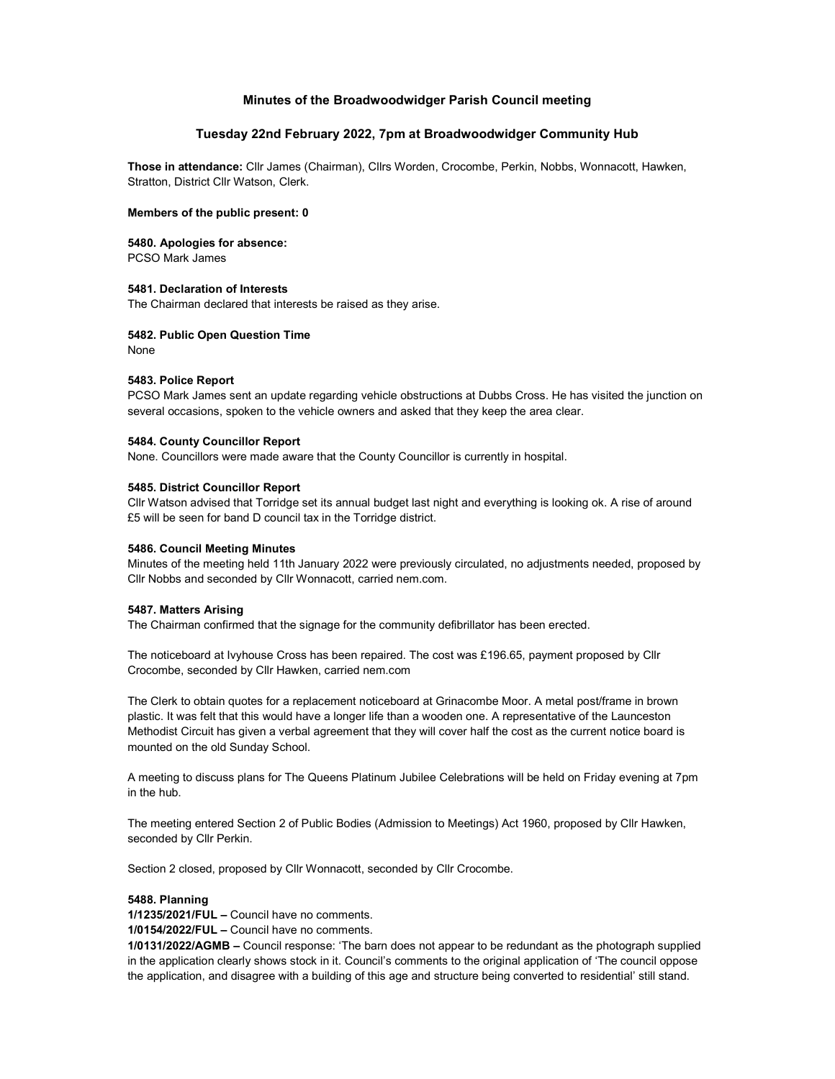# Minutes of the Broadwoodwidger Parish Council meeting

# Tuesday 22nd February 2022, 7pm at Broadwoodwidger Community Hub

Those in attendance: Cllr James (Chairman), Cllrs Worden, Crocombe, Perkin, Nobbs, Wonnacott, Hawken, Stratton, District Cllr Watson, Clerk.

#### Members of the public present: 0

## 5480. Apologies for absence:

PCSO Mark James

# 5481. Declaration of Interests

The Chairman declared that interests be raised as they arise.

# 5482. Public Open Question Time

None

## 5483. Police Report

PCSO Mark James sent an update regarding vehicle obstructions at Dubbs Cross. He has visited the junction on several occasions, spoken to the vehicle owners and asked that they keep the area clear.

#### 5484. County Councillor Report

None. Councillors were made aware that the County Councillor is currently in hospital.

#### 5485. District Councillor Report

Cllr Watson advised that Torridge set its annual budget last night and everything is looking ok. A rise of around £5 will be seen for band D council tax in the Torridge district.

#### 5486. Council Meeting Minutes

Minutes of the meeting held 11th January 2022 were previously circulated, no adjustments needed, proposed by Cllr Nobbs and seconded by Cllr Wonnacott, carried nem.com.

#### 5487. Matters Arising

The Chairman confirmed that the signage for the community defibrillator has been erected.

The noticeboard at Ivyhouse Cross has been repaired. The cost was £196.65, payment proposed by Cllr Crocombe, seconded by Cllr Hawken, carried nem.com

The Clerk to obtain quotes for a replacement noticeboard at Grinacombe Moor. A metal post/frame in brown plastic. It was felt that this would have a longer life than a wooden one. A representative of the Launceston Methodist Circuit has given a verbal agreement that they will cover half the cost as the current notice board is mounted on the old Sunday School.

A meeting to discuss plans for The Queens Platinum Jubilee Celebrations will be held on Friday evening at 7pm in the hub.

The meeting entered Section 2 of Public Bodies (Admission to Meetings) Act 1960, proposed by Cllr Hawken, seconded by Cllr Perkin.

Section 2 closed, proposed by Cllr Wonnacott, seconded by Cllr Crocombe.

# 5488. Planning

1/1235/2021/FUL – Council have no comments.

1/0154/2022/FUL – Council have no comments.

1/0131/2022/AGMB – Council response: 'The barn does not appear to be redundant as the photograph supplied in the application clearly shows stock in it. Council's comments to the original application of 'The council oppose the application, and disagree with a building of this age and structure being converted to residential' still stand.